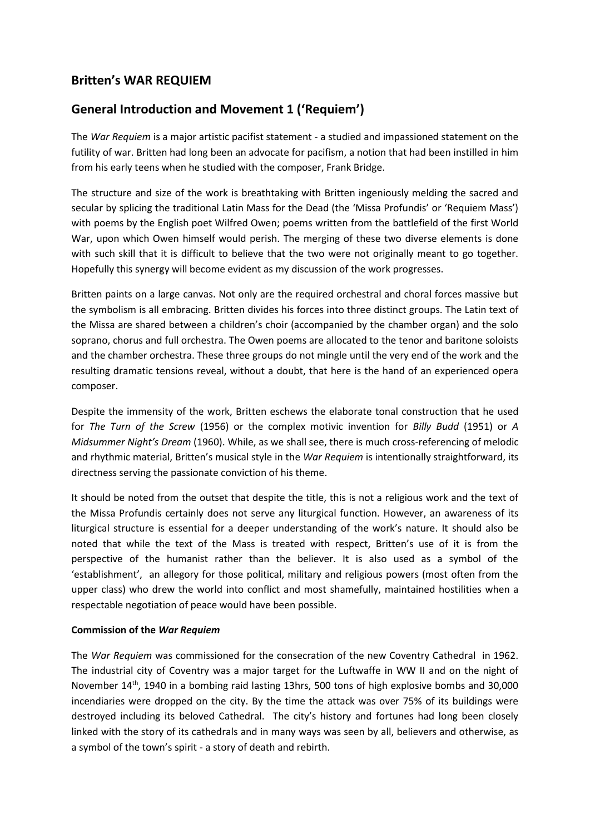# **Britten's WAR REQUIEM**

# **General Introduction and Movement 1 ('Requiem')**

The *War Requiem* is a major artistic pacifist statement - a studied and impassioned statement on the futility of war. Britten had long been an advocate for pacifism, a notion that had been instilled in him from his early teens when he studied with the composer, Frank Bridge.

The structure and size of the work is breathtaking with Britten ingeniously melding the sacred and secular by splicing the traditional Latin Mass for the Dead (the 'Missa Profundis' or 'Requiem Mass') with poems by the English poet Wilfred Owen; poems written from the battlefield of the first World War, upon which Owen himself would perish. The merging of these two diverse elements is done with such skill that it is difficult to believe that the two were not originally meant to go together. Hopefully this synergy will become evident as my discussion of the work progresses.

Britten paints on a large canvas. Not only are the required orchestral and choral forces massive but the symbolism is all embracing. Britten divides his forces into three distinct groups. The Latin text of the Missa are shared between a children's choir (accompanied by the chamber organ) and the solo soprano, chorus and full orchestra. The Owen poems are allocated to the tenor and baritone soloists and the chamber orchestra. These three groups do not mingle until the very end of the work and the resulting dramatic tensions reveal, without a doubt, that here is the hand of an experienced opera composer.

Despite the immensity of the work, Britten eschews the elaborate tonal construction that he used for *The Turn of the Screw* (1956) or the complex motivic invention for *Billy Budd* (1951) or *A Midsummer Night's Dream* (1960). While, as we shall see, there is much cross-referencing of melodic and rhythmic material, Britten's musical style in the *War Requiem* is intentionally straightforward, its directness serving the passionate conviction of his theme.

It should be noted from the outset that despite the title, this is not a religious work and the text of the Missa Profundis certainly does not serve any liturgical function. However, an awareness of its liturgical structure is essential for a deeper understanding of the work's nature. It should also be noted that while the text of the Mass is treated with respect, Britten's use of it is from the perspective of the humanist rather than the believer. It is also used as a symbol of the 'establishment', an allegory for those political, military and religious powers (most often from the upper class) who drew the world into conflict and most shamefully, maintained hostilities when a respectable negotiation of peace would have been possible.

#### **Commission of the** *War Requiem*

The *War Requiem* was commissioned for the consecration of the new Coventry Cathedral in 1962. The industrial city of Coventry was a major target for the Luftwaffe in WW II and on the night of November 14<sup>th</sup>, 1940 in a bombing raid lasting 13hrs, 500 tons of high explosive bombs and 30,000 incendiaries were dropped on the city. By the time the attack was over 75% of its buildings were destroyed including its beloved Cathedral. The city's history and fortunes had long been closely linked with the story of its cathedrals and in many ways was seen by all, believers and otherwise, as a symbol of the town's spirit - a story of death and rebirth.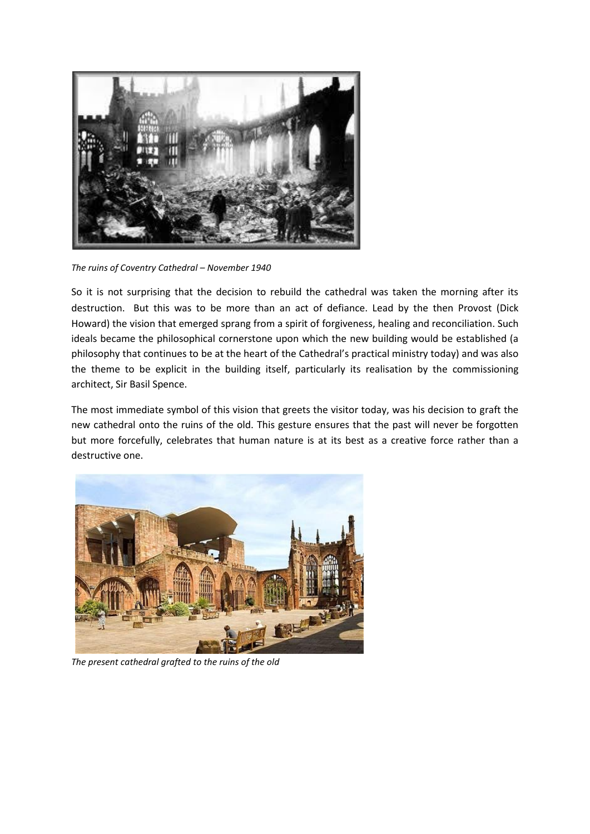

*The ruins of Coventry Cathedral – November 1940*

So it is not surprising that the decision to rebuild the cathedral was taken the morning after its destruction. But this was to be more than an act of defiance. Lead by the then Provost (Dick Howard) the vision that emerged sprang from a spirit of forgiveness, healing and reconciliation. Such ideals became the philosophical cornerstone upon which the new building would be established (a philosophy that continues to be at the heart of the Cathedral's practical ministry today) and was also the theme to be explicit in the building itself, particularly its realisation by the commissioning architect, Sir Basil Spence.

The most immediate symbol of this vision that greets the visitor today, was his decision to graft the new cathedral onto the ruins of the old. This gesture ensures that the past will never be forgotten but more forcefully, celebrates that human nature is at its best as a creative force rather than a destructive one.



*The present cathedral grafted to the ruins of the old*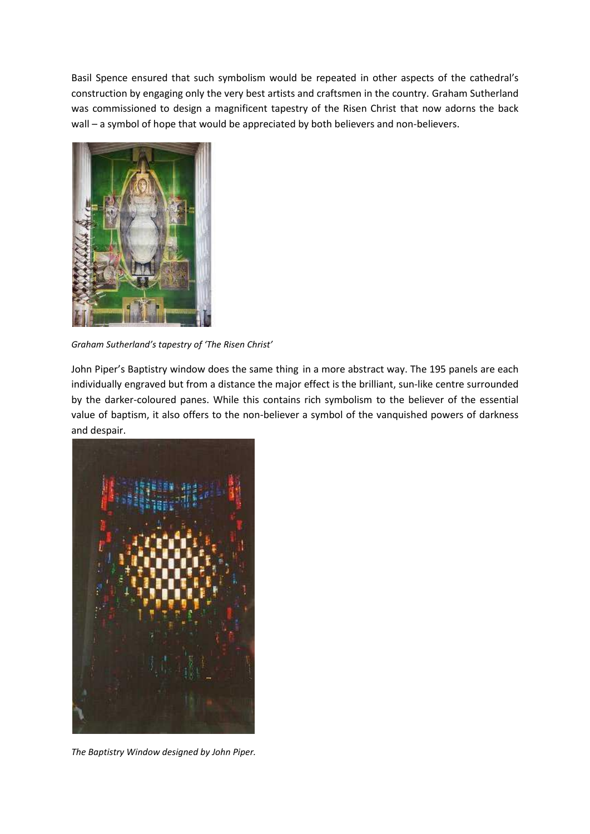Basil Spence ensured that such symbolism would be repeated in other aspects of the cathedral's construction by engaging only the very best artists and craftsmen in the country. Graham Sutherland was commissioned to design a magnificent tapestry of the Risen Christ that now adorns the back wall – a symbol of hope that would be appreciated by both believers and non-believers.



*Graham Sutherland's tapestry of 'The Risen Christ'*

John Piper's Baptistry window does the same thing in a more abstract way. The 195 panels are each individually engraved but from a distance the major effect is the brilliant, sun-like centre surrounded by the darker-coloured panes. While this contains rich symbolism to the believer of the essential value of baptism, it also offers to the non-believer a symbol of the vanquished powers of darkness and despair.



*The Baptistry Window designed by John Piper.*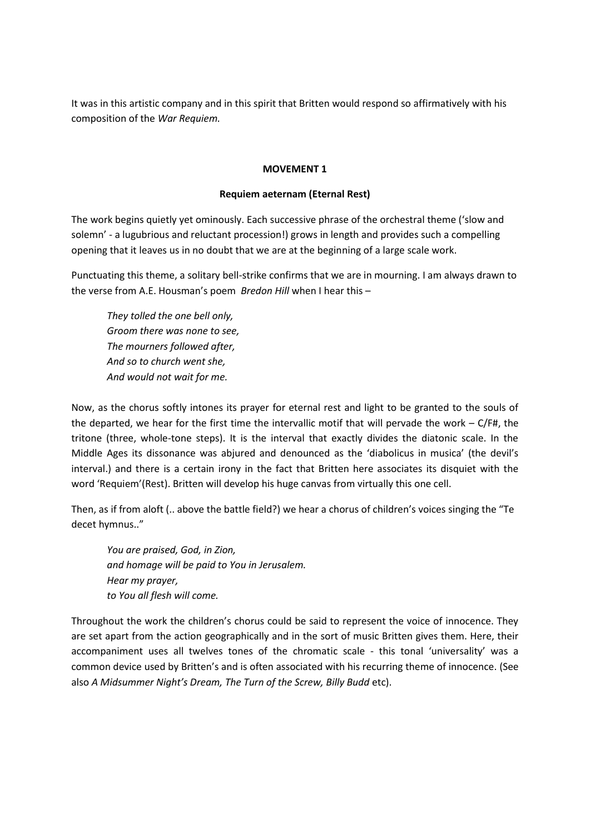It was in this artistic company and in this spirit that Britten would respond so affirmatively with his composition of the *War Requiem.* 

### **MOVEMENT 1**

### **Requiem aeternam (Eternal Rest)**

The work begins quietly yet ominously. Each successive phrase of the orchestral theme ('slow and solemn' - a lugubrious and reluctant procession!) grows in length and provides such a compelling opening that it leaves us in no doubt that we are at the beginning of a large scale work.

Punctuating this theme, a solitary bell-strike confirms that we are in mourning. I am always drawn to the verse from A.E. Housman's poem *Bredon Hill* when I hear this –

*They tolled the one bell only, Groom there was none to see, The mourners followed after, And so to church went she, And would not wait for me.*

Now, as the chorus softly intones its prayer for eternal rest and light to be granted to the souls of the departed, we hear for the first time the intervallic motif that will pervade the work – C/F#, the tritone (three, whole-tone steps). It is the interval that exactly divides the diatonic scale. In the Middle Ages its dissonance was abjured and denounced as the 'diabolicus in musica' (the devil's interval.) and there is a certain irony in the fact that Britten here associates its disquiet with the word 'Requiem'(Rest). Britten will develop his huge canvas from virtually this one cell.

Then, as if from aloft (.. above the battle field?) we hear a chorus of children's voices singing the "Te decet hymnus.."

*You are praised, God, in Zion, and homage will be paid to You in Jerusalem. Hear my prayer, to You all flesh will come.*

Throughout the work the children's chorus could be said to represent the voice of innocence. They are set apart from the action geographically and in the sort of music Britten gives them. Here, their accompaniment uses all twelves tones of the chromatic scale - this tonal 'universality' was a common device used by Britten's and is often associated with his recurring theme of innocence. (See also *A Midsummer Night's Dream, The Turn of the Screw, Billy Budd* etc).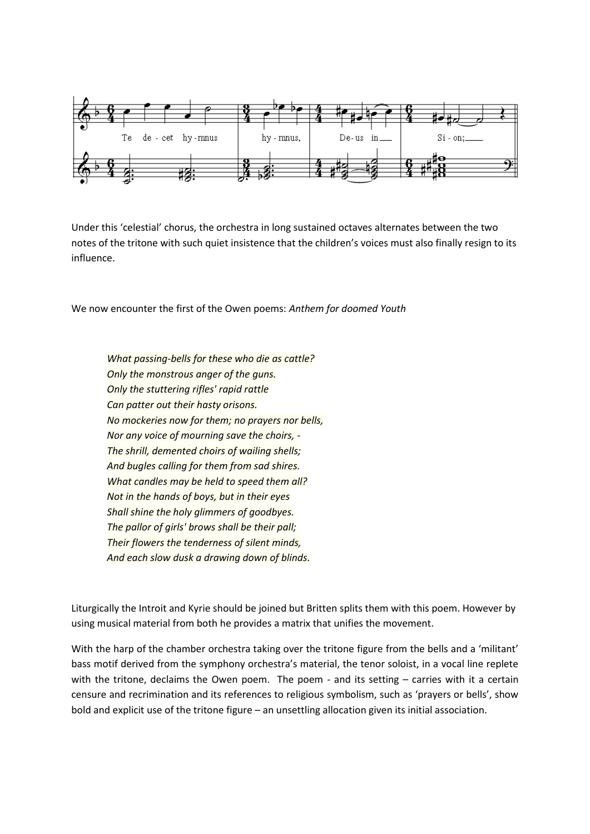

Under this 'celestial' chorus, the orchestra in long sustained octaves alternates between the two notes of the tritone with such quiet insistence that the children's voices must also finally resign to its influence.

We now encounter the first of the Owen poems: *Anthem for doomed Youth*

*What passing-bells for these who die as cattle? Only the monstrous anger of the guns. Only the stuttering rifles' rapid rattle Can patter out their hasty orisons. No mockeries now for them; no prayers nor bells, Nor any voice of mourning save the choirs, - The shrill, demented choirs of wailing shells; And bugles calling for them from sad shires. What candles may be held to speed them all? Not in the hands of boys, but in their eyes Shall shine the holy glimmers of goodbyes. The pallor of girls' brows shall be their pall; Their flowers the tenderness of silent minds, And each slow dusk a drawing down of blinds.*

Liturgically the Introit and Kyrie should be joined but Britten splits them with this poem. However by using musical material from both he provides a matrix that unifies the movement.

With the harp of the chamber orchestra taking over the tritone figure from the bells and a 'militant' bass motif derived from the symphony orchestra's material, the tenor soloist, in a vocal line replete with the tritone, declaims the Owen poem. The poem - and its setting - carries with it a certain censure and recrimination and its references to religious symbolism, such as 'prayers or bells', show bold and explicit use of the tritone figure – an unsettling allocation given its initial association.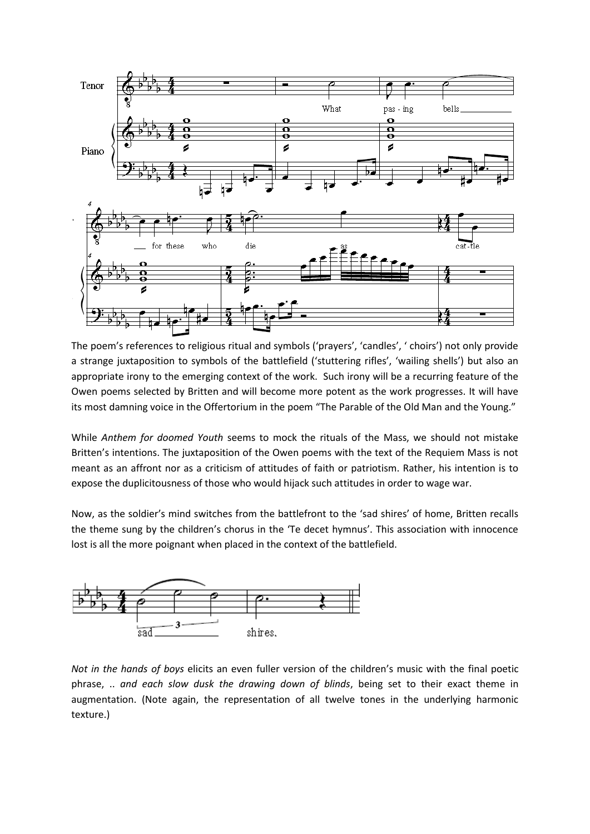

The poem's references to religious ritual and symbols ('prayers', 'candles', ' choirs') not only provide a strange juxtaposition to symbols of the battlefield ('stuttering rifles', 'wailing shells') but also an appropriate irony to the emerging context of the work. Such irony will be a recurring feature of the Owen poems selected by Britten and will become more potent as the work progresses. It will have its most damning voice in the Offertorium in the poem "The Parable of the Old Man and the Young."

While *Anthem for doomed Youth* seems to mock the rituals of the Mass, we should not mistake Britten's intentions. The juxtaposition of the Owen poems with the text of the Requiem Mass is not meant as an affront nor as a criticism of attitudes of faith or patriotism. Rather, his intention is to expose the duplicitousness of those who would hijack such attitudes in order to wage war.

Now, as the soldier's mind switches from the battlefront to the 'sad shires' of home, Britten recalls the theme sung by the children's chorus in the 'Te decet hymnus'. This association with innocence lost is all the more poignant when placed in the context of the battlefield.



*Not in the hands of boys* elicits an even fuller version of the children's music with the final poetic phrase, .. *and each slow dusk the drawing down of blinds*, being set to their exact theme in augmentation. (Note again, the representation of all twelve tones in the underlying harmonic texture.)